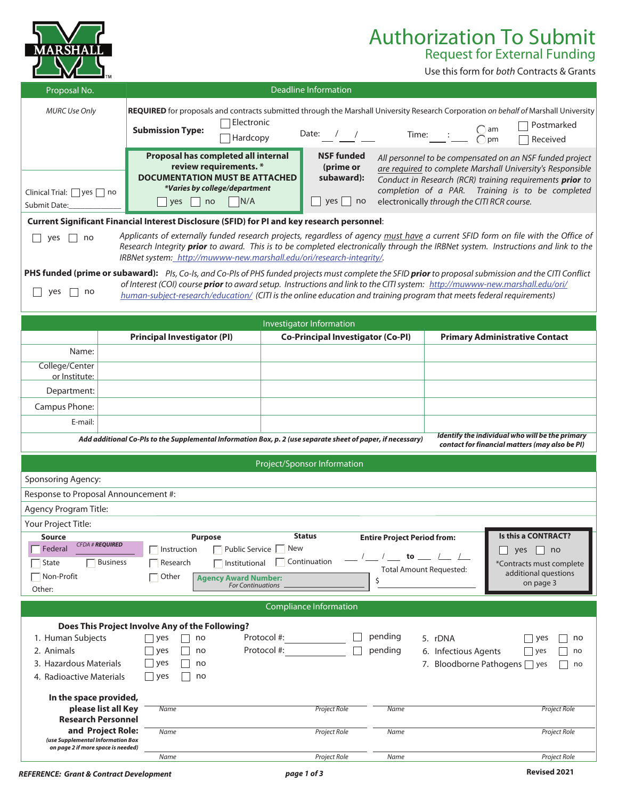| SH                                                                                                     |                                                                                                                                                                                                                                                                                                                                                                                                                                                                                                                                                                                                                                                                                                                                                                          |                                                               |                                                             |                                                                                     |                                             | <b>Authorization To Submit</b><br><b>Request for External Funding</b><br>Use this form for both Contracts & Grants                                                                                                                     |
|--------------------------------------------------------------------------------------------------------|--------------------------------------------------------------------------------------------------------------------------------------------------------------------------------------------------------------------------------------------------------------------------------------------------------------------------------------------------------------------------------------------------------------------------------------------------------------------------------------------------------------------------------------------------------------------------------------------------------------------------------------------------------------------------------------------------------------------------------------------------------------------------|---------------------------------------------------------------|-------------------------------------------------------------|-------------------------------------------------------------------------------------|---------------------------------------------|----------------------------------------------------------------------------------------------------------------------------------------------------------------------------------------------------------------------------------------|
| Proposal No.                                                                                           |                                                                                                                                                                                                                                                                                                                                                                                                                                                                                                                                                                                                                                                                                                                                                                          | <b>Deadline Information</b>                                   |                                                             |                                                                                     |                                             |                                                                                                                                                                                                                                        |
| <b>MURC Use Only</b>                                                                                   | REQUIRED for proposals and contracts submitted through the Marshall University Research Corporation on behalf of Marshall University<br>Electronic<br><b>Submission Type:</b><br>Hardcopy                                                                                                                                                                                                                                                                                                                                                                                                                                                                                                                                                                                |                                                               | Date: $/$ /                                                 |                                                                                     | Time: $\qquad \qquad : \qquad$              | Postmarked<br>$\bigcap_{n=1}^{\infty}$<br>pm<br>Received                                                                                                                                                                               |
| Clinical Trial: yes $\Box$ no<br>Submit Date:                                                          | Proposal has completed all internal<br>review requirements. *<br><b>DOCUMENTATION MUST BE ATTACHED</b><br>*Varies by college/department<br>N/A<br>yes<br>no                                                                                                                                                                                                                                                                                                                                                                                                                                                                                                                                                                                                              |                                                               | <b>NSF funded</b><br>(prime or<br>subaward):<br>yes  <br>no |                                                                                     | electronically through the CITI RCR course. | All personnel to be compensated on an NSF funded project<br>are required to complete Marshall University's Responsible<br>Conduct in Research (RCR) training requirements prior to<br>completion of a PAR. Training is to be completed |
|                                                                                                        | Current Significant Financial Interest Disclosure (SFID) for PI and key research personnel:                                                                                                                                                                                                                                                                                                                                                                                                                                                                                                                                                                                                                                                                              |                                                               |                                                             |                                                                                     |                                             |                                                                                                                                                                                                                                        |
| yes<br>no<br>yes<br>no                                                                                 | Applicants of externally funded research projects, regardless of agency must have a current SFID form on file with the Office of<br>Research Integrity prior to award. This is to be completed electronically through the IRBNet system. Instructions and link to the<br>IRBNet system: http://muwww-new.marshall.edu/ori/research-integrity/.<br>PHS funded (prime or subaward): Pls, Co-Is, and Co-Pls of PHS funded projects must complete the SFID prior to proposal submission and the CITI Conflict<br>of Interest (COI) course <i>prior</i> to award setup. Instructions and link to the CITI system: http://muwww-new.marshall.edu/ori/<br>human-subject-research/education/ (CITI is the online education and training program that meets federal requirements) |                                                               |                                                             |                                                                                     |                                             |                                                                                                                                                                                                                                        |
|                                                                                                        |                                                                                                                                                                                                                                                                                                                                                                                                                                                                                                                                                                                                                                                                                                                                                                          | Investigator Information                                      |                                                             |                                                                                     |                                             |                                                                                                                                                                                                                                        |
|                                                                                                        | <b>Principal Investigator (PI)</b>                                                                                                                                                                                                                                                                                                                                                                                                                                                                                                                                                                                                                                                                                                                                       |                                                               | <b>Co-Principal Investigator (Co-PI)</b>                    |                                                                                     |                                             | <b>Primary Administrative Contact</b>                                                                                                                                                                                                  |
| Name:                                                                                                  |                                                                                                                                                                                                                                                                                                                                                                                                                                                                                                                                                                                                                                                                                                                                                                          |                                                               |                                                             |                                                                                     |                                             |                                                                                                                                                                                                                                        |
| College/Center<br>or Institute:                                                                        |                                                                                                                                                                                                                                                                                                                                                                                                                                                                                                                                                                                                                                                                                                                                                                          |                                                               |                                                             |                                                                                     |                                             |                                                                                                                                                                                                                                        |
| Department:                                                                                            |                                                                                                                                                                                                                                                                                                                                                                                                                                                                                                                                                                                                                                                                                                                                                                          |                                                               |                                                             |                                                                                     |                                             |                                                                                                                                                                                                                                        |
| Campus Phone:                                                                                          |                                                                                                                                                                                                                                                                                                                                                                                                                                                                                                                                                                                                                                                                                                                                                                          |                                                               |                                                             |                                                                                     |                                             |                                                                                                                                                                                                                                        |
| E-mail:                                                                                                |                                                                                                                                                                                                                                                                                                                                                                                                                                                                                                                                                                                                                                                                                                                                                                          |                                                               |                                                             |                                                                                     |                                             |                                                                                                                                                                                                                                        |
|                                                                                                        | Add additional Co-PIs to the Supplemental Information Box, p. 2 (use separate sheet of paper, if necessary)                                                                                                                                                                                                                                                                                                                                                                                                                                                                                                                                                                                                                                                              |                                                               |                                                             |                                                                                     |                                             | Identify the individual who will be the primary<br>contact for financial matters (may also be PI)                                                                                                                                      |
|                                                                                                        |                                                                                                                                                                                                                                                                                                                                                                                                                                                                                                                                                                                                                                                                                                                                                                          | Project/Sponsor Information                                   |                                                             |                                                                                     |                                             |                                                                                                                                                                                                                                        |
| Sponsoring Agency:                                                                                     |                                                                                                                                                                                                                                                                                                                                                                                                                                                                                                                                                                                                                                                                                                                                                                          |                                                               |                                                             |                                                                                     |                                             |                                                                                                                                                                                                                                        |
| Response to Proposal Announcement #:                                                                   |                                                                                                                                                                                                                                                                                                                                                                                                                                                                                                                                                                                                                                                                                                                                                                          |                                                               |                                                             |                                                                                     |                                             |                                                                                                                                                                                                                                        |
| Agency Program Title:                                                                                  |                                                                                                                                                                                                                                                                                                                                                                                                                                                                                                                                                                                                                                                                                                                                                                          |                                                               |                                                             |                                                                                     |                                             |                                                                                                                                                                                                                                        |
| Your Project Title:                                                                                    |                                                                                                                                                                                                                                                                                                                                                                                                                                                                                                                                                                                                                                                                                                                                                                          |                                                               |                                                             |                                                                                     |                                             |                                                                                                                                                                                                                                        |
| <b>Source</b><br><b>CFDA # REQUIRED</b><br>Federal<br><b>Business</b><br>State<br>Non-Profit<br>Other: | <b>Purpose</b><br>Public Service<br>  Instruction<br>Institutional<br>Research<br>Other<br><b>Agency Award Number:</b><br><b>For Continuations</b>                                                                                                                                                                                                                                                                                                                                                                                                                                                                                                                                                                                                                       | <b>Status</b><br>New<br>$\overline{\phantom{a}}$ Continuation |                                                             | <b>Entire Project Period from:</b><br>to to<br><b>Total Amount Requested:</b><br>\$ |                                             | Is this a CONTRACT?<br>yes<br>no<br>*Contracts must complete<br>additional questions<br>on page 3                                                                                                                                      |
|                                                                                                        |                                                                                                                                                                                                                                                                                                                                                                                                                                                                                                                                                                                                                                                                                                                                                                          | <b>Compliance Information</b>                                 |                                                             |                                                                                     |                                             |                                                                                                                                                                                                                                        |
| 1. Human Subjects<br>2. Animals<br>3. Hazardous Materials<br>4. Radioactive Materials                  | Does This Project Involve Any of the Following?<br>$\vert$ yes<br>no<br>yes<br>no<br>l yes<br>no<br>l yes<br>no                                                                                                                                                                                                                                                                                                                                                                                                                                                                                                                                                                                                                                                          | Protocol #:<br>Protocol #:                                    |                                                             | pending<br>pending                                                                  | 5. rDNA<br>6. Infectious Agents             | yes<br>no<br>yes<br>no<br>7. Bloodborne Pathogens   yes<br>no                                                                                                                                                                          |
| In the space provided,<br>please list all Key<br><b>Research Personnel</b><br>and Project Role:        | <b>Name</b>                                                                                                                                                                                                                                                                                                                                                                                                                                                                                                                                                                                                                                                                                                                                                              |                                                               | <b>Project Role</b>                                         | <b>Name</b>                                                                         |                                             | <b>Project Role</b>                                                                                                                                                                                                                    |
| (use Supplemental Information Box<br>on page 2 if more space is needed)                                | Name                                                                                                                                                                                                                                                                                                                                                                                                                                                                                                                                                                                                                                                                                                                                                                     |                                                               | Project Role                                                | Name                                                                                |                                             | Project Role                                                                                                                                                                                                                           |
|                                                                                                        | Name                                                                                                                                                                                                                                                                                                                                                                                                                                                                                                                                                                                                                                                                                                                                                                     |                                                               | Project Role                                                | Name                                                                                |                                             | Project Role                                                                                                                                                                                                                           |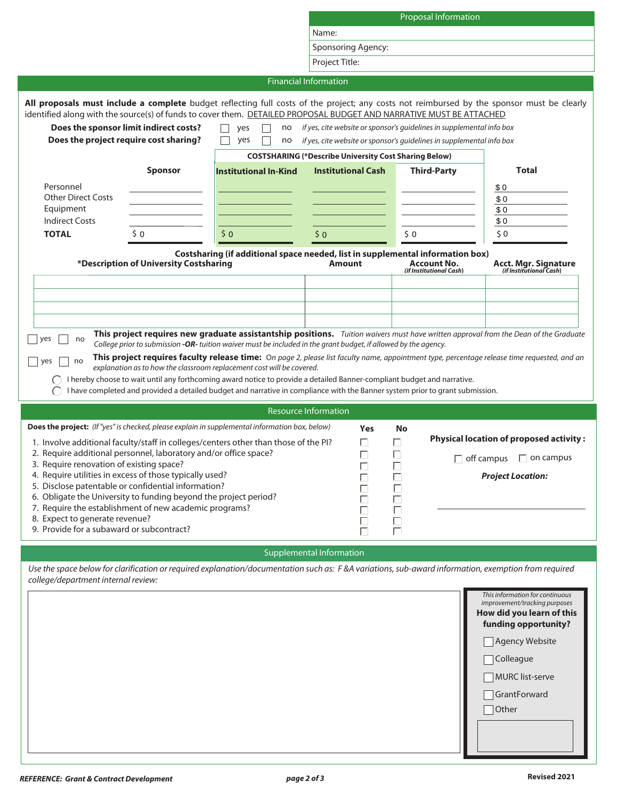|                                                                                                                                                                                                                                                                                                                                                                                                                                                                                                                                                                                                                                                                                                                                                                                                                                                                                                                             |                                                                                                                                  | <b>Proposal Information</b> |                                                                                                                                                                      |                                                                  |  |  |
|-----------------------------------------------------------------------------------------------------------------------------------------------------------------------------------------------------------------------------------------------------------------------------------------------------------------------------------------------------------------------------------------------------------------------------------------------------------------------------------------------------------------------------------------------------------------------------------------------------------------------------------------------------------------------------------------------------------------------------------------------------------------------------------------------------------------------------------------------------------------------------------------------------------------------------|----------------------------------------------------------------------------------------------------------------------------------|-----------------------------|----------------------------------------------------------------------------------------------------------------------------------------------------------------------|------------------------------------------------------------------|--|--|
|                                                                                                                                                                                                                                                                                                                                                                                                                                                                                                                                                                                                                                                                                                                                                                                                                                                                                                                             | Name:                                                                                                                            |                             |                                                                                                                                                                      |                                                                  |  |  |
|                                                                                                                                                                                                                                                                                                                                                                                                                                                                                                                                                                                                                                                                                                                                                                                                                                                                                                                             |                                                                                                                                  |                             |                                                                                                                                                                      |                                                                  |  |  |
|                                                                                                                                                                                                                                                                                                                                                                                                                                                                                                                                                                                                                                                                                                                                                                                                                                                                                                                             |                                                                                                                                  | Sponsoring Agency:          |                                                                                                                                                                      |                                                                  |  |  |
|                                                                                                                                                                                                                                                                                                                                                                                                                                                                                                                                                                                                                                                                                                                                                                                                                                                                                                                             |                                                                                                                                  | Project Title:              |                                                                                                                                                                      |                                                                  |  |  |
|                                                                                                                                                                                                                                                                                                                                                                                                                                                                                                                                                                                                                                                                                                                                                                                                                                                                                                                             | <b>Financial Information</b>                                                                                                     |                             |                                                                                                                                                                      |                                                                  |  |  |
|                                                                                                                                                                                                                                                                                                                                                                                                                                                                                                                                                                                                                                                                                                                                                                                                                                                                                                                             |                                                                                                                                  |                             |                                                                                                                                                                      |                                                                  |  |  |
| All proposals must include a complete budget reflecting full costs of the project; any costs not reimbursed by the sponsor must be clearly<br>identified along with the source(s) of funds to cover them. DETAILED PROPOSAL BUDGET AND NARRATIVE MUST BE ATTACHED<br>Does the sponsor limit indirect costs?<br>Does the project require cost sharing?<br><b>Sponsor</b><br>Personnel<br><b>Other Direct Costs</b><br>Equipment<br><b>Indirect Costs</b>                                                                                                                                                                                                                                                                                                                                                                                                                                                                     | yes<br>no<br>$\Box$<br>yes<br>no<br><b>COSTSHARING (*Describe University Cost Sharing Below)</b><br><b>Institutional In-Kind</b> | <b>Institutional Cash</b>   | if yes, cite website or sponsor's guidelines in supplemental info box<br>if yes, cite website or sponsor's guidelines in supplemental info box<br><b>Third-Party</b> | Total<br>\$0<br>\$0<br>\$0<br>\$0                                |  |  |
| \$0<br><b>TOTAL</b>                                                                                                                                                                                                                                                                                                                                                                                                                                                                                                                                                                                                                                                                                                                                                                                                                                                                                                         | 50<br>\$0                                                                                                                        |                             | \$0                                                                                                                                                                  | $\zeta$ 0                                                        |  |  |
|                                                                                                                                                                                                                                                                                                                                                                                                                                                                                                                                                                                                                                                                                                                                                                                                                                                                                                                             |                                                                                                                                  |                             |                                                                                                                                                                      |                                                                  |  |  |
| *Description of University Costsharing                                                                                                                                                                                                                                                                                                                                                                                                                                                                                                                                                                                                                                                                                                                                                                                                                                                                                      | Costsharing (if additional space needed, list in supplemental information box)                                                   | <b>Amount</b>               | <b>Account No.</b><br>(if Institutional Cash)                                                                                                                        | <b>Acct. Mgr. Signature</b><br>(if Institutional Cash)           |  |  |
| This project requires new graduate assistantship positions. Tuition waivers must have written approval from the Dean of the Graduate<br>yes<br>no<br>College prior to submission -OR- tuition waiver must be included in the grant budget, if allowed by the agency.<br>This project requires faculty release time: On page 2, please list faculty name, appointment type, percentage release time requested, and an<br>no<br>yes<br>explanation as to how the classroom replacement cost will be covered.<br>I hereby choose to wait until any forthcoming award notice to provide a detailed Banner-compliant budget and narrative.<br>I have completed and provided a detailed budget and narrative in compliance with the Banner system prior to grant submission.<br><b>Resource Information</b><br>Does the project: (If "yes" is checked, please explain in supplemental information box, below)<br><b>Yes</b><br>No |                                                                                                                                  |                             |                                                                                                                                                                      |                                                                  |  |  |
| 1. Involve additional faculty/staff in colleges/centers other than those of the PI?<br>2. Require additional personnel, laboratory and/or office space?                                                                                                                                                                                                                                                                                                                                                                                                                                                                                                                                                                                                                                                                                                                                                                     |                                                                                                                                  | П<br>Г                      | П<br>П                                                                                                                                                               | <b>Physical location of proposed activity:</b>                   |  |  |
| 3. Require renovation of existing space?                                                                                                                                                                                                                                                                                                                                                                                                                                                                                                                                                                                                                                                                                                                                                                                                                                                                                    |                                                                                                                                  | $\Box$                      |                                                                                                                                                                      | $\Box$ off campus<br>$\Box$ on campus                            |  |  |
| 4. Require utilities in excess of those typically used?                                                                                                                                                                                                                                                                                                                                                                                                                                                                                                                                                                                                                                                                                                                                                                                                                                                                     |                                                                                                                                  | Г                           | Е                                                                                                                                                                    | <b>Project Location:</b>                                         |  |  |
| 5. Disclose patentable or confidential information?<br>6. Obligate the University to funding beyond the project period?<br>П<br>7. Require the establishment of new academic programs?<br>П<br>Е<br>8. Expect to generate revenue?<br>$\Box$<br>$\Box$<br>9. Provide for a subaward or subcontract?<br>П<br>Е                                                                                                                                                                                                                                                                                                                                                                                                                                                                                                                                                                                                               |                                                                                                                                  |                             |                                                                                                                                                                      |                                                                  |  |  |
|                                                                                                                                                                                                                                                                                                                                                                                                                                                                                                                                                                                                                                                                                                                                                                                                                                                                                                                             | <b>Supplemental Information</b>                                                                                                  |                             |                                                                                                                                                                      |                                                                  |  |  |
| Use the space below for clarification or required explanation/documentation such as: F &A variations, sub-award information, exemption from required<br>college/department internal review:                                                                                                                                                                                                                                                                                                                                                                                                                                                                                                                                                                                                                                                                                                                                 |                                                                                                                                  |                             |                                                                                                                                                                      | This information for continuous<br>improvement/tracking purposes |  |  |
|                                                                                                                                                                                                                                                                                                                                                                                                                                                                                                                                                                                                                                                                                                                                                                                                                                                                                                                             |                                                                                                                                  |                             |                                                                                                                                                                      | How did you learn of this<br>funding opportunity?                |  |  |
|                                                                                                                                                                                                                                                                                                                                                                                                                                                                                                                                                                                                                                                                                                                                                                                                                                                                                                                             |                                                                                                                                  |                             |                                                                                                                                                                      | <b>Agency Website</b>                                            |  |  |
|                                                                                                                                                                                                                                                                                                                                                                                                                                                                                                                                                                                                                                                                                                                                                                                                                                                                                                                             |                                                                                                                                  |                             | Colleague                                                                                                                                                            |                                                                  |  |  |

| This information for continuous<br>improvement/tracking purposes<br>How did you learn of this<br>funding opportunity? |
|-----------------------------------------------------------------------------------------------------------------------|
| Agency Website                                                                                                        |
| $\Box$ Colleague                                                                                                      |
| MURC list-serve                                                                                                       |
| GrantForward                                                                                                          |
| $\Box$ Other                                                                                                          |
|                                                                                                                       |
|                                                                                                                       |